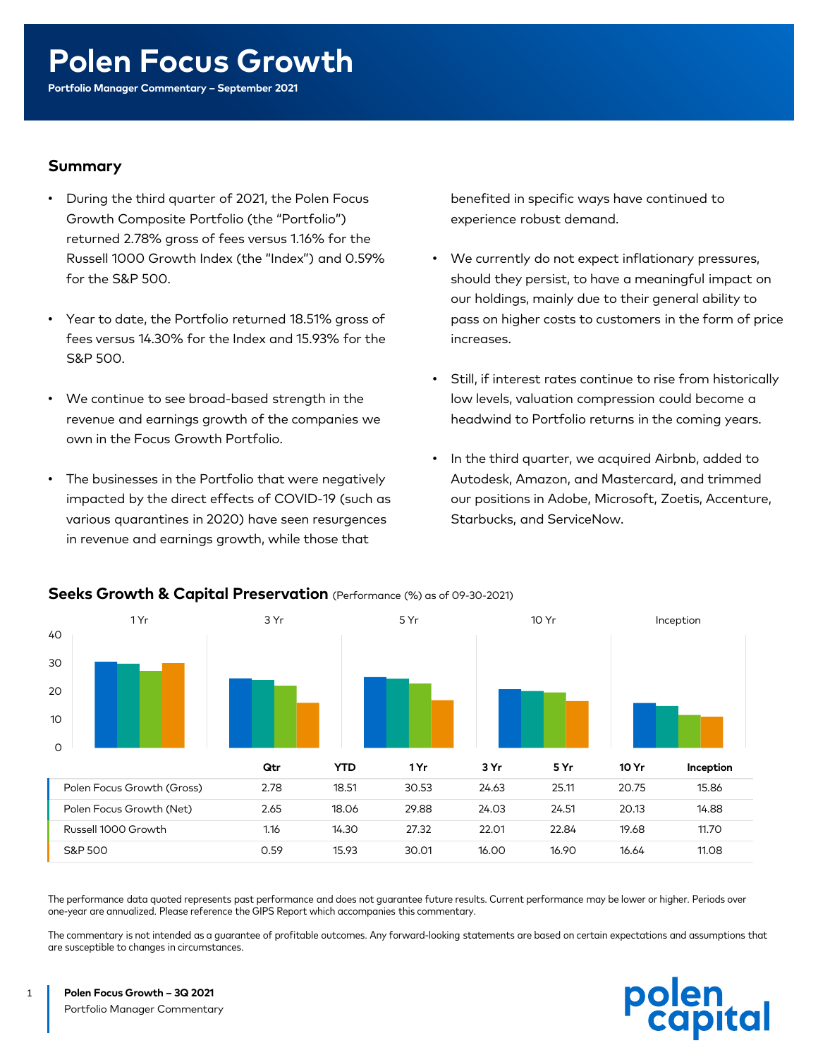# **Polen Focus Growth**

**Portfolio Manager Commentary – September 2021** 

#### **Summary**

- During the third quarter of 2021, the Polen Focus Growth Composite Portfolio (the "Portfolio") returned 2.78% gross of fees versus 1.16% for the Russell 1000 Growth Index (the "Index") and 0.59% for the S&P 500.
- Year to date, the Portfolio returned 18.51% gross of fees versus 14.30% for the Index and 15.93% for the S&P 500.
- We continue to see broad-based strength in the revenue and earnings growth of the companies we own in the Focus Growth Portfolio.
- The businesses in the Portfolio that were negatively impacted by the direct effects of COVID-19 (such as various quarantines in 2020) have seen resurgences in revenue and earnings growth, while those that

benefited in specific ways have continued to experience robust demand.

- We currently do not expect inflationary pressures, should they persist, to have a meaningful impact on our holdings, mainly due to their general ability to pass on higher costs to customers in the form of price increases.
- Still, if interest rates continue to rise from historically low levels, valuation compression could become a headwind to Portfolio returns in the coming years.
- In the third quarter, we acquired Airbnb, added to Autodesk, Amazon, and Mastercard, and trimmed our positions in Adobe, Microsoft, Zoetis, Accenture, Starbucks, and ServiceNow.



#### **Seeks Growth & Capital Preservation** (Performance (%) as of 09-30-2021)

The performance data quoted represents past performance and does not guarantee future results. Current performance may be lower or higher. Periods over one-year are annualized. Please reference the GIPS Report which accompanies this commentary.

The commentary is not intended as a guarantee of profitable outcomes. Any forward-looking statements are based on certain expectations and assumptions that are susceptible to changes in circumstances.



1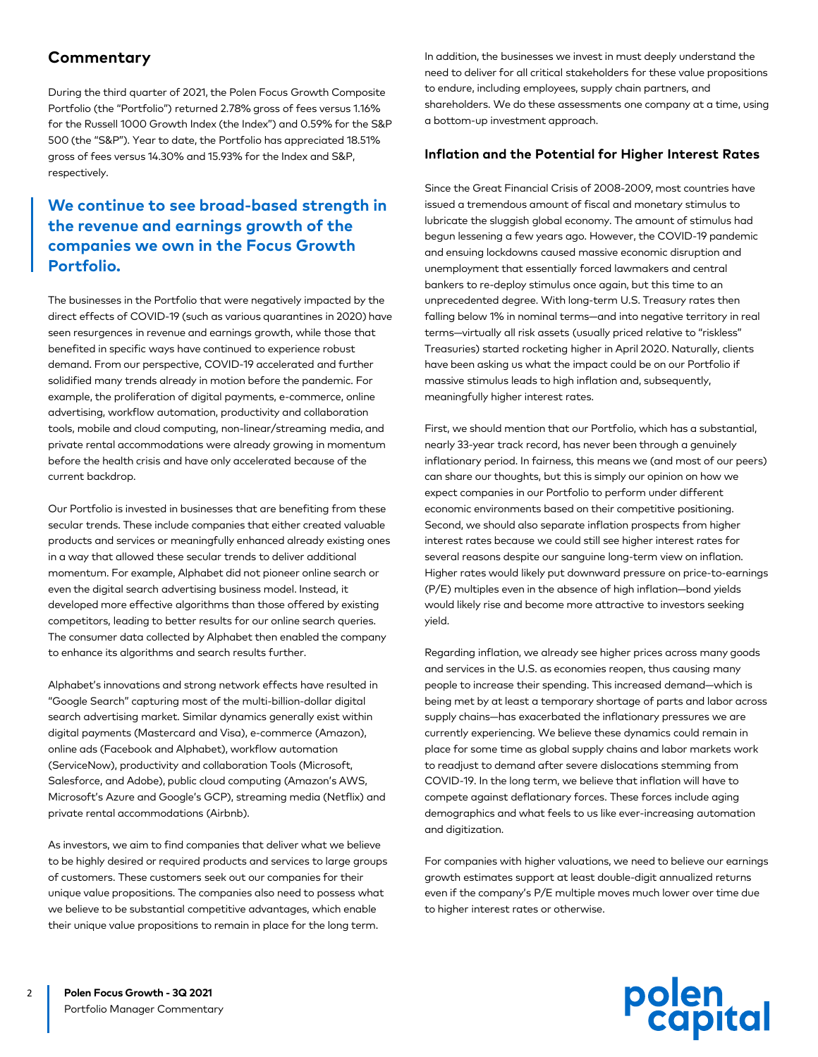#### **Commentary**

During the third quarter of 2021, the Polen Focus Growth Composite Portfolio (the "Portfolio") returned 2.78% gross of fees versus 1.16% for the Russell 1000 Growth Index (the Index") and 0.59% for the S&P 500 (the "S&P"). Year to date, the Portfolio has appreciated 18.51% gross of fees versus 14.30% and 15.93% for the Index and S&P, respectively.

#### **We continue to see broad-based strength in the revenue and earnings growth of the companies we own in the Focus Growth Portfolio.**

The businesses in the Portfolio that were negatively impacted by the direct effects of COVID-19 (such as various quarantines in 2020) have seen resurgences in revenue and earnings growth, while those that benefited in specific ways have continued to experience robust demand. From our perspective, COVID-19 accelerated and further solidified many trends already in motion before the pandemic. For example, the proliferation of digital payments, e-commerce, online advertising, workflow automation, productivity and collaboration tools, mobile and cloud computing, non-linear/streaming media, and private rental accommodations were already growing in momentum before the health crisis and have only accelerated because of the current backdrop.

Our Portfolio is invested in businesses that are benefiting from these secular trends. These include companies that either created valuable products and services or meaningfully enhanced already existing ones in a way that allowed these secular trends to deliver additional momentum. For example, Alphabet did not pioneer online search or even the digital search advertising business model. Instead, it developed more effective algorithms than those offered by existing competitors, leading to better results for our online search queries. The consumer data collected by Alphabet then enabled the company to enhance its algorithms and search results further.

Alphabet's innovations and strong network effects have resulted in "Google Search" capturing most of the multi-billion-dollar digital search advertising market. Similar dynamics generally exist within digital payments (Mastercard and Visa), e-commerce (Amazon), online ads (Facebook and Alphabet), workflow automation (ServiceNow), productivity and collaboration Tools (Microsoft, Salesforce, and Adobe), public cloud computing (Amazon's AWS, Microsoft's Azure and Google's GCP), streaming media (Netflix) and private rental accommodations (Airbnb).

As investors, we aim to find companies that deliver what we believe to be highly desired or required products and services to large groups of customers. These customers seek out our companies for their unique value propositions. The companies also need to possess what we believe to be substantial competitive advantages, which enable their unique value propositions to remain in place for the long term.

In addition, the businesses we invest in must deeply understand the need to deliver for all critical stakeholders for these value propositions to endure, including employees, supply chain partners, and shareholders. We do these assessments one company at a time, using a bottom-up investment approach.

#### **Inflation and the Potential for Higher Interest Rates**

Since the Great Financial Crisis of 2008-2009, most countries have issued a tremendous amount of fiscal and monetary stimulus to lubricate the sluggish global economy. The amount of stimulus had begun lessening a few years ago. However, the COVID-19 pandemic and ensuing lockdowns caused massive economic disruption and unemployment that essentially forced lawmakers and central bankers to re-deploy stimulus once again, but this time to an unprecedented degree. With long-term U.S. Treasury rates then falling below 1% in nominal terms—and into negative territory in real terms—virtually all risk assets (usually priced relative to "riskless" Treasuries) started rocketing higher in April 2020. Naturally, clients have been asking us what the impact could be on our Portfolio if massive stimulus leads to high inflation and, subsequently, meaningfully higher interest rates.

First, we should mention that our Portfolio, which has a substantial, nearly 33-year track record, has never been through a genuinely inflationary period. In fairness, this means we (and most of our peers) can share our thoughts, but this is simply our opinion on how we expect companies in our Portfolio to perform under different economic environments based on their competitive positioning. Second, we should also separate inflation prospects from higher interest rates because we could still see higher interest rates for several reasons despite our sanguine long-term view on inflation. Higher rates would likely put downward pressure on price-to-earnings (P/E) multiples even in the absence of high inflation—bond yields would likely rise and become more attractive to investors seeking yield.

Regarding inflation, we already see higher prices across many goods and services in the U.S. as economies reopen, thus causing many people to increase their spending. This increased demand—which is being met by at least a temporary shortage of parts and labor across supply chains—has exacerbated the inflationary pressures we are currently experiencing. We believe these dynamics could remain in place for some time as global supply chains and labor markets work to readjust to demand after severe dislocations stemming from COVID-19. In the long term, we believe that inflation will have to compete against deflationary forces. These forces include aging demographics and what feels to us like ever-increasing automation and digitization.

For companies with higher valuations, we need to believe our earnings growth estimates support at least double-digit annualized returns even if the company's P/E multiple moves much lower over time due to higher interest rates or otherwise.

# polen<br>capital

2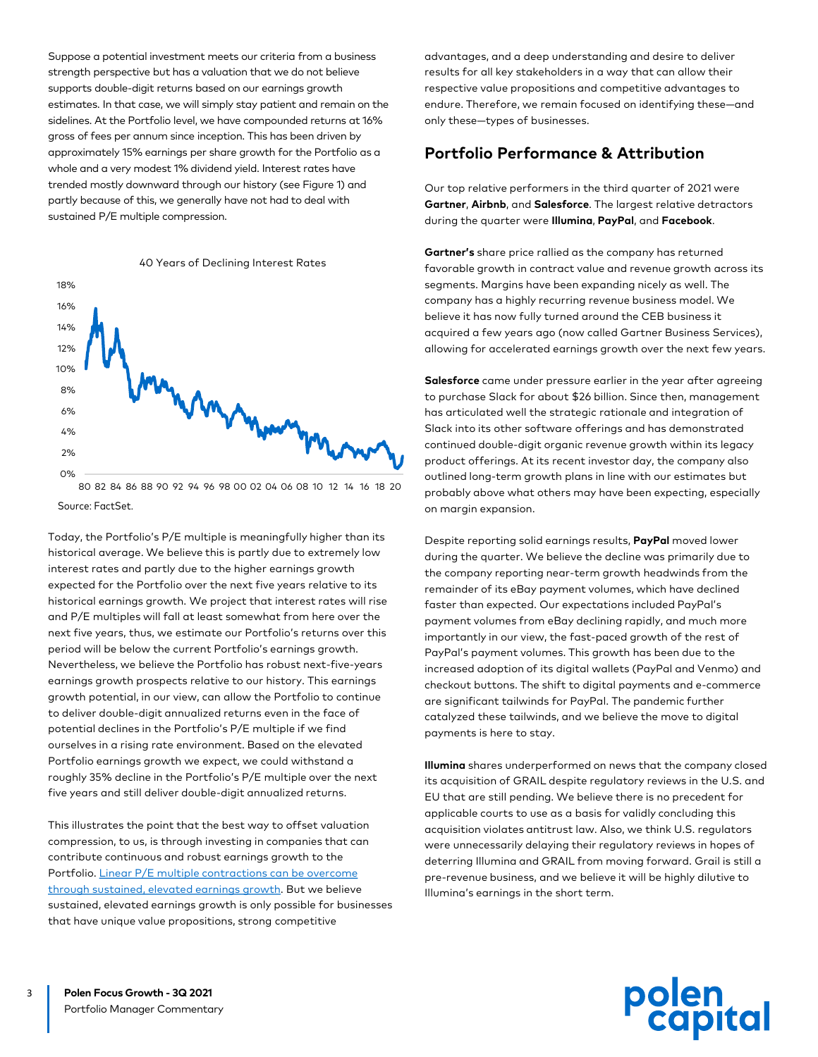Suppose a potential investment meets our criteria from a business strength perspective but has a valuation that we do not believe supports double-digit returns based on our earnings growth estimates. In that case, we will simply stay patient and remain on the sidelines. At the Portfolio level, we have compounded returns at 16% gross of fees per annum since inception. This has been driven by approximately 15% earnings per share growth for the Portfolio as a whole and a very modest 1% dividend yield. Interest rates have trended mostly downward through our history (see Figure 1) and partly because of this, we generally have not had to deal with sustained P/E multiple compression.



80 82 84 86 88 90 92 94 96 98 00 02 04 06 08 10 12 14 16 18 20 Source: FactSet.

Today, the Portfolio's P/E multiple is meaningfully higher than its historical average. We believe this is partly due to extremely low interest rates and partly due to the higher earnings growth expected for the Portfolio over the next five years relative to its historical earnings growth. We project that interest rates will rise and P/E multiples will fall at least somewhat from here over the next five years, thus, we estimate our Portfolio's returns over this period will be below the current Portfolio's earnings growth. Nevertheless, we believe the Portfolio has robust next-five-years earnings growth prospects relative to our history. This earnings growth potential, in our view, can allow the Portfolio to continue to deliver double-digit annualized returns even in the face of potential declines in the Portfolio's P/E multiple if we find ourselves in a rising rate environment. Based on the elevated Portfolio earnings growth we expect, we could withstand a roughly 35% decline in the Portfolio's P/E multiple over the next five years and still deliver double-digit annualized returns.

This illustrates the point that the best way to offset valuation compression, to us, is through investing in companies that can contribute continuous and robust earnings growth to the Portfolio. Linear P/E multiple contractions can be overcome [through sustained, elevated earnings growth. But we believe](https://www.polencapital.com/perspectives/the-polen-heat-map-degrees-of-expected-return) sustained, elevated earnings growth is only possible for businesses that have unique value propositions, strong competitive

advantages, and a deep understanding and desire to deliver results for all key stakeholders in a way that can allow their respective value propositions and competitive advantages to endure. Therefore, we remain focused on identifying these—and only these—types of businesses.

# **Portfolio Performance & Attribution**

Our top relative performers in the third quarter of 2021 were **Gartner**, **Airbnb**, and **Salesforce**. The largest relative detractors during the quarter were **Illumina**, **PayPal**, and **Facebook**.

**Gartner's** share price rallied as the company has returned favorable growth in contract value and revenue growth across its segments. Margins have been expanding nicely as well. The company has a highly recurring revenue business model. We believe it has now fully turned around the CEB business it acquired a few years ago (now called Gartner Business Services), allowing for accelerated earnings growth over the next few years.

**Salesforce** came under pressure earlier in the year after agreeing to purchase Slack for about \$26 billion. Since then, management has articulated well the strategic rationale and integration of Slack into its other software offerings and has demonstrated continued double-digit organic revenue growth within its legacy product offerings. At its recent investor day, the company also outlined long-term growth plans in line with our estimates but probably above what others may have been expecting, especially on margin expansion.

Despite reporting solid earnings results, **PayPal** moved lower during the quarter. We believe the decline was primarily due to the company reporting near-term growth headwinds from the remainder of its eBay payment volumes, which have declined faster than expected. Our expectations included PayPal's payment volumes from eBay declining rapidly, and much more importantly in our view, the fast-paced growth of the rest of PayPal's payment volumes. This growth has been due to the increased adoption of its digital wallets (PayPal and Venmo) and checkout buttons. The shift to digital payments and e-commerce are significant tailwinds for PayPal. The pandemic further catalyzed these tailwinds, and we believe the move to digital payments is here to stay.

**Illumina** shares underperformed on news that the company closed its acquisition of GRAIL despite regulatory reviews in the U.S. and EU that are still pending. We believe there is no precedent for applicable courts to use as a basis for validly concluding this acquisition violates antitrust law. Also, we think U.S. regulators were unnecessarily delaying their regulatory reviews in hopes of deterring Illumina and GRAIL from moving forward. Grail is still a pre-revenue business, and we believe it will be highly dilutive to Illumina's earnings in the short term.



3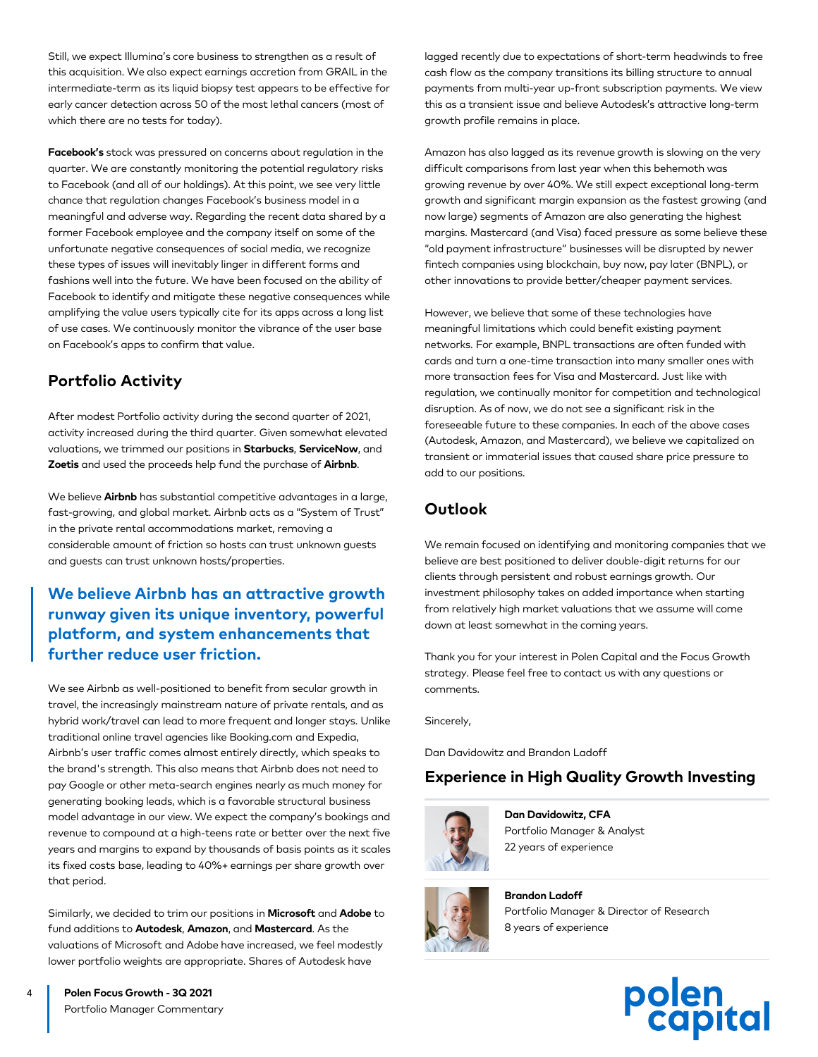Still, we expect Illumina's core business to strengthen as a result of this acquisition. We also expect earnings accretion from GRAIL in the intermediate-term as its liquid biopsy test appears to be effective for early cancer detection across 50 of the most lethal cancers (most of which there are no tests for today).

**Facebook's** stock was pressured on concerns about regulation in the quarter. We are constantly monitoring the potential regulatory risks to Facebook (and all of our holdings). At this point, we see very little chance that regulation changes Facebook's business model in a meaningful and adverse way. Regarding the recent data shared by a former Facebook employee and the company itself on some of the unfortunate negative consequences of social media, we recognize these types of issues will inevitably linger in different forms and fashions well into the future. We have been focused on the ability of Facebook to identify and mitigate these negative consequences while amplifying the value users typically cite for its apps across a long list of use cases. We continuously monitor the vibrance of the user base on Facebook's apps to confirm that value.

# **Portfolio Activity**

After modest Portfolio activity during the second quarter of 2021, activity increased during the third quarter. Given somewhat elevated valuations, we trimmed our positions in **Starbucks**, **ServiceNow**, and **Zoetis** and used the proceeds help fund the purchase of **Airbnb**.

We believe **Airbnb** has substantial competitive advantages in a large, fast-growing, and global market. Airbnb acts as a "System of Trust" in the private rental accommodations market, removing a considerable amount of friction so hosts can trust unknown guests and guests can trust unknown hosts/properties.

# **We believe Airbnb has an attractive growth runway given its unique inventory, powerful platform, and system enhancements that further reduce user friction.**

We see Airbnb as well-positioned to benefit from secular growth in travel, the increasingly mainstream nature of private rentals, and as hybrid work/travel can lead to more frequent and longer stays. Unlike traditional online travel agencies like Booking.com and Expedia, Airbnb's user traffic comes almost entirely directly, which speaks to the brand's strength. This also means that Airbnb does not need to pay Google or other meta-search engines nearly as much money for generating booking leads, which is a favorable structural business model advantage in our view. We expect the company's bookings and revenue to compound at a high-teens rate or better over the next five years and margins to expand by thousands of basis points as it scales its fixed costs base, leading to 40%+ earnings per share growth over that period.

Similarly, we decided to trim our positions in **Microsoft** and **Adobe** to fund additions to **Autodesk**, **Amazon**, and **Mastercard**. As the valuations of Microsoft and Adobe have increased, we feel modestly lower portfolio weights are appropriate. Shares of Autodesk have

lagged recently due to expectations of short-term headwinds to free cash flow as the company transitions its billing structure to annual payments from multi-year up-front subscription payments. We view this as a transient issue and believe Autodesk's attractive long-term growth profile remains in place.

Amazon has also lagged as its revenue growth is slowing on the very difficult comparisons from last year when this behemoth was growing revenue by over 40%. We still expect exceptional long-term growth and significant margin expansion as the fastest growing (and now large) segments of Amazon are also generating the highest margins. Mastercard (and Visa) faced pressure as some believe these "old payment infrastructure" businesses will be disrupted by newer fintech companies using blockchain, buy now, pay later (BNPL), or other innovations to provide better/cheaper payment services.

However, we believe that some of these technologies have meaningful limitations which could benefit existing payment networks. For example, BNPL transactions are often funded with cards and turn a one-time transaction into many smaller ones with more transaction fees for Visa and Mastercard. Just like with regulation, we continually monitor for competition and technological disruption. As of now, we do not see a significant risk in the foreseeable future to these companies. In each of the above cases (Autodesk, Amazon, and Mastercard), we believe we capitalized on transient or immaterial issues that caused share price pressure to add to our positions.

# **Outlook**

We remain focused on identifying and monitoring companies that we believe are best positioned to deliver double-digit returns for our clients through persistent and robust earnings growth. Our investment philosophy takes on added importance when starting from relatively high market valuations that we assume will come down at least somewhat in the coming years.

Thank you for your interest in Polen Capital and the Focus Growth strategy. Please feel free to contact us with any questions or comments.

Sincerely,

Dan Davidowitz and Brandon Ladoff

# **Experience in High Quality Growth Investing**



**Dan Davidowitz, CFA** Portfolio Manager & Analyst 22 years of experience



**Brandon Ladoff** Portfolio Manager & Director of Research 8 years of experience



**Polen Focus Growth - 3Q 2021**  Portfolio Manager Commentary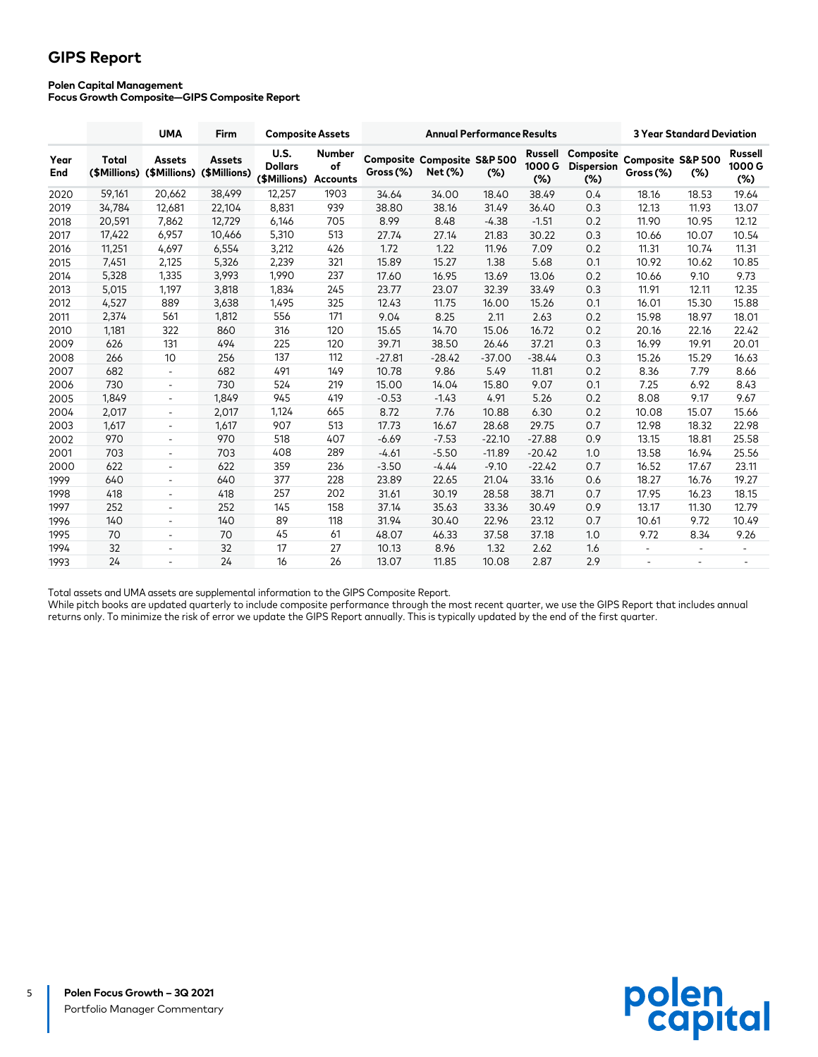# **GIPS Report**

#### **Polen Capital Management**

**Focus Growth Composite—GIPS Composite Report**

|             |                       | <b>UMA</b>                    | Firm                          | <b>Composite Assets</b>                |                                 |           | <b>3 Year Standard Deviation</b>                  |          |                         |                                          |                                |                          |                                |
|-------------|-----------------------|-------------------------------|-------------------------------|----------------------------------------|---------------------------------|-----------|---------------------------------------------------|----------|-------------------------|------------------------------------------|--------------------------------|--------------------------|--------------------------------|
| Year<br>End | Total<br>(\$Millions) | <b>Assets</b><br>(\$Millions) | <b>Assets</b><br>(\$Millions) | U.S.<br><b>Dollars</b><br>(\$Millions) | Number<br>of<br><b>Accounts</b> | Gross (%) | <b>Composite Composite S&amp;P 500</b><br>Net (%) | $(\%)$   | Russell<br>1000G<br>(%) | Composite<br><b>Dispersion</b><br>$(\%)$ | Composite S&P 500<br>Gross (%) | $(\%)$                   | <b>Russell</b><br>1000G<br>(%) |
| 2020        | 59,161                | 20,662                        | 38,499                        | 12,257                                 | 1903                            | 34.64     | 34.00                                             | 18.40    | 38.49                   | 0.4                                      | 18.16                          | 18.53                    | 19.64                          |
| 2019        | 34,784                | 12,681                        | 22,104                        | 8,831                                  | 939                             | 38.80     | 38.16                                             | 31.49    | 36.40                   | 0.3                                      | 12.13                          | 11.93                    | 13.07                          |
| 2018        | 20,591                | 7,862                         | 12,729                        | 6,146                                  | 705                             | 8.99      | 8.48                                              | $-4.38$  | $-1.51$                 | 0.2                                      | 11.90                          | 10.95                    | 12.12                          |
| 2017        | 17,422                | 6,957                         | 10,466                        | 5,310                                  | 513                             | 27.74     | 27.14                                             | 21.83    | 30.22                   | 0.3                                      | 10.66                          | 10.07                    | 10.54                          |
| 2016        | 11,251                | 4,697                         | 6,554                         | 3,212                                  | 426                             | 1.72      | 1.22                                              | 11.96    | 7.09                    | 0.2                                      | 11.31                          | 10.74                    | 11.31                          |
| 2015        | 7,451                 | 2,125                         | 5,326                         | 2,239                                  | 321                             | 15.89     | 15.27                                             | 1.38     | 5.68                    | 0.1                                      | 10.92                          | 10.62                    | 10.85                          |
| 2014        | 5,328                 | 1,335                         | 3,993                         | 1,990                                  | 237                             | 17.60     | 16.95                                             | 13.69    | 13.06                   | 0.2                                      | 10.66                          | 9.10                     | 9.73                           |
| 2013        | 5,015                 | 1,197                         | 3,818                         | 1,834                                  | 245                             | 23.77     | 23.07                                             | 32.39    | 33.49                   | 0.3                                      | 11.91                          | 12.11                    | 12.35                          |
| 2012        | 4,527                 | 889                           | 3,638                         | 1,495                                  | 325                             | 12.43     | 11.75                                             | 16.00    | 15.26                   | 0.1                                      | 16.01                          | 15.30                    | 15.88                          |
| 2011        | 2,374                 | 561                           | 1,812                         | 556                                    | 171                             | 9.04      | 8.25                                              | 2.11     | 2.63                    | 0.2                                      | 15.98                          | 18.97                    | 18.01                          |
| 2010        | 1,181                 | 322                           | 860                           | 316                                    | 120                             | 15.65     | 14.70                                             | 15.06    | 16.72                   | 0.2                                      | 20.16                          | 22.16                    | 22.42                          |
| 2009        | 626                   | 131                           | 494                           | 225                                    | 120                             | 39.71     | 38.50                                             | 26.46    | 37.21                   | 0.3                                      | 16.99                          | 19.91                    | 20.01                          |
| 2008        | 266                   | 10                            | 256                           | 137                                    | 112                             | $-27.81$  | $-28.42$                                          | $-37.00$ | $-38.44$                | 0.3                                      | 15.26                          | 15.29                    | 16.63                          |
| 2007        | 682                   | $\overline{\phantom{a}}$      | 682                           | 491                                    | 149                             | 10.78     | 9.86                                              | 5.49     | 11.81                   | 0.2                                      | 8.36                           | 7.79                     | 8.66                           |
| 2006        | 730                   | $\overline{\phantom{a}}$      | 730                           | 524                                    | 219                             | 15.00     | 14.04                                             | 15.80    | 9.07                    | 0.1                                      | 7.25                           | 6.92                     | 8.43                           |
| 2005        | 1,849                 | $\overline{\phantom{a}}$      | 1,849                         | 945                                    | 419                             | $-0.53$   | $-1.43$                                           | 4.91     | 5.26                    | 0.2                                      | 8.08                           | 9.17                     | 9.67                           |
| 2004        | 2,017                 | $\overline{\phantom{a}}$      | 2,017                         | 1,124                                  | 665                             | 8.72      | 7.76                                              | 10.88    | 6.30                    | 0.2                                      | 10.08                          | 15.07                    | 15.66                          |
| 2003        | 1,617                 | $\overline{\phantom{a}}$      | 1,617                         | 907                                    | 513                             | 17.73     | 16.67                                             | 28.68    | 29.75                   | 0.7                                      | 12.98                          | 18.32                    | 22.98                          |
| 2002        | 970                   | $\overline{\phantom{a}}$      | 970                           | 518                                    | 407                             | $-6.69$   | $-7.53$                                           | $-22.10$ | $-27.88$                | 0.9                                      | 13.15                          | 18.81                    | 25.58                          |
| 2001        | 703                   | $\overline{\phantom{a}}$      | 703                           | 408                                    | 289                             | $-4.61$   | $-5.50$                                           | $-11.89$ | $-20.42$                | 1.0                                      | 13.58                          | 16.94                    | 25.56                          |
| 2000        | 622                   | $\overline{\phantom{a}}$      | 622                           | 359                                    | 236                             | $-3.50$   | $-4.44$                                           | $-9.10$  | $-22.42$                | 0.7                                      | 16.52                          | 17.67                    | 23.11                          |
| 1999        | 640                   | $\overline{\phantom{a}}$      | 640                           | 377                                    | 228                             | 23.89     | 22.65                                             | 21.04    | 33.16                   | 0.6                                      | 18.27                          | 16.76                    | 19.27                          |
| 1998        | 418                   | $\overline{\phantom{a}}$      | 418                           | 257                                    | 202                             | 31.61     | 30.19                                             | 28.58    | 38.71                   | 0.7                                      | 17.95                          | 16.23                    | 18.15                          |
| 1997        | 252                   | $\overline{\phantom{a}}$      | 252                           | 145                                    | 158                             | 37.14     | 35.63                                             | 33.36    | 30.49                   | 0.9                                      | 13.17                          | 11.30                    | 12.79                          |
| 1996        | 140                   | $\overline{\phantom{a}}$      | 140                           | 89                                     | 118                             | 31.94     | 30.40                                             | 22.96    | 23.12                   | 0.7                                      | 10.61                          | 9.72                     | 10.49                          |
| 1995        | 70                    | $\overline{\phantom{a}}$      | 70                            | 45                                     | 61                              | 48.07     | 46.33                                             | 37.58    | 37.18                   | 1.0                                      | 9.72                           | 8.34                     | 9.26                           |
| 1994        | 32                    | $\overline{\phantom{a}}$      | 32                            | 17                                     | 27                              | 10.13     | 8.96                                              | 1.32     | 2.62                    | 1.6                                      | $\overline{\phantom{a}}$       | $\overline{\phantom{a}}$ | $\overline{\phantom{a}}$       |
| 1993        | 24                    |                               | 24                            | 16                                     | 26                              | 13.07     | 11.85                                             | 10.08    | 2.87                    | 2.9                                      |                                | $\overline{\phantom{a}}$ |                                |

Total assets and UMA assets are supplemental information to the GIPS Composite Report.

While pitch books are updated quarterly to include composite performance through the most recent quarter, we use the GIPS Report that includes annual returns only. To minimize the risk of error we update the GIPS Report annually. This is typically updated by the end of the first quarter.